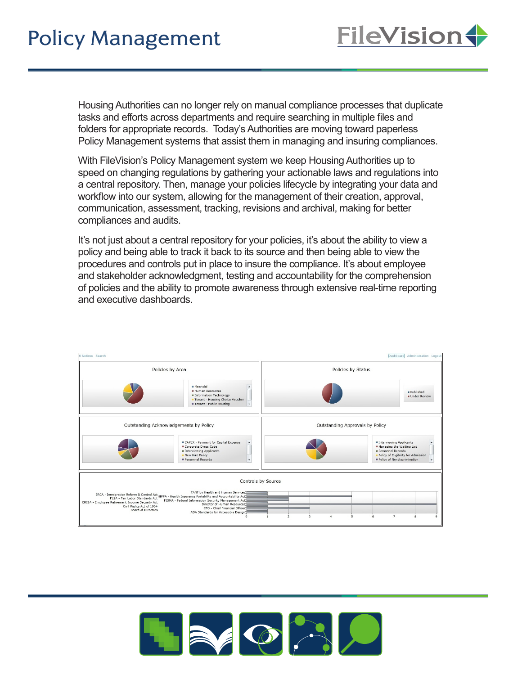## Policy Management

Housing Authorities can no longer rely on manual compliance processes that duplicate tasks and efforts across departments and require searching in multiple files and folders for appropriate records. Today's Authorities are moving toward paperless Policy Management systems that assist them in managing and insuring compliances.

**FileVision+** 

With FileVision's Policy Management system we keep Housing Authorities up to speed on changing regulations by gathering your actionable laws and regulations into a central repository. Then, manage your policies lifecycle by integrating your data and workflow into our system, allowing for the management of their creation, approval, communication, assessment, tracking, revisions and archival, making for better compliances and audits.

It's not just about a central repository for your policies, it's about the ability to view a policy and being able to track it back to its source and then being able to view the procedures and controls put in place to insure the compliance. It's about employee and stakeholder acknowledgment, testing and accountability for the comprehension of policies and the ability to promote awareness through extensive real-time reporting and executive dashboards.